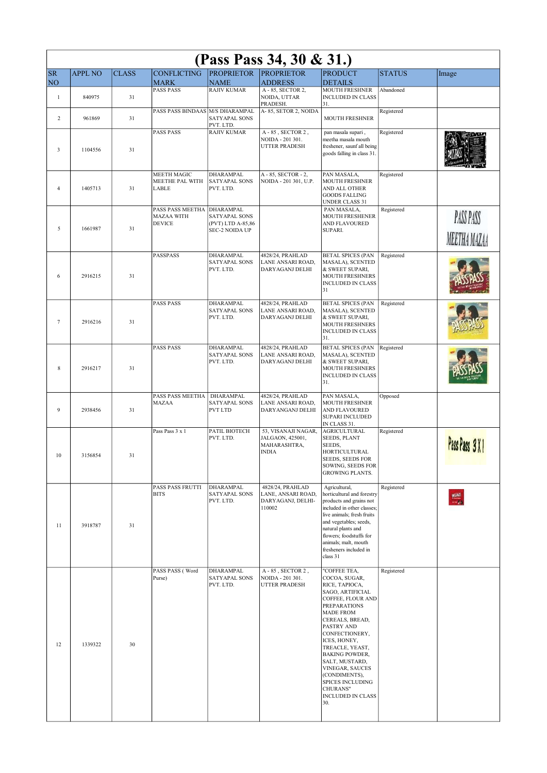| (Pass Pass 34, 30 & 31.) |                |              |                                                        |                                                                                 |                                                                         |                                                                                                                                                                                                                                                                                                                                                                                    |               |                           |  |  |
|--------------------------|----------------|--------------|--------------------------------------------------------|---------------------------------------------------------------------------------|-------------------------------------------------------------------------|------------------------------------------------------------------------------------------------------------------------------------------------------------------------------------------------------------------------------------------------------------------------------------------------------------------------------------------------------------------------------------|---------------|---------------------------|--|--|
| <b>SR</b><br>NO          | <b>APPL NO</b> | <b>CLASS</b> | <b>CONFLICTING</b><br><b>MARK</b>                      | <b>PROPRIETOR</b><br><b>NAME</b>                                                | <b>PROPRIETOR</b><br><b>ADDRESS</b>                                     | <b>PRODUCT</b><br><b>DETAILS</b>                                                                                                                                                                                                                                                                                                                                                   | <b>STATUS</b> | Image                     |  |  |
| $\mathbf{1}$             | 840975         | 31           | <b>PASS PASS</b>                                       | <b>RAJIV KUMAR</b>                                                              | A - 85, SECTOR 2,<br>NOIDA, UTTAR<br>PRADESH.                           | MOUTH FRESHNER<br><b>INCLUDED IN CLASS</b><br>31.                                                                                                                                                                                                                                                                                                                                  | Abandoned     |                           |  |  |
| 2                        | 961869         | 31           | PASS PASS BINDAAS M/S DHARAMPAL                        | SATYAPAL SONS<br>PVT. LTD.                                                      | A-85, SETOR 2, NOIDA                                                    | <b>MOUTH FRESHNER</b>                                                                                                                                                                                                                                                                                                                                                              | Registered    |                           |  |  |
| 3                        | 1104556        | 31           | PASS PASS                                              | <b>RAJIV KUMAR</b>                                                              | A-85, SECTOR 2,<br>NOIDA - 201 301.<br><b>UTTER PRADESH</b>             | pan masala supari,<br>meetha masala mouth<br>freshener, saunf all being<br>goods falling in class 31.                                                                                                                                                                                                                                                                              | Registered    |                           |  |  |
| 4                        | 1405713        | 31           | MEETH MAGIC<br>MEETHE PAL WITH<br>LABLE                | DHARAMPAL<br><b>SATYAPAL SONS</b><br>PVT. LTD.                                  | A-85, SECTOR-2,<br>NOIDA - 201 301, U.P.                                | PAN MASALA,<br><b>MOUTH FRESHNER</b><br>AND ALL OTHER<br><b>GOODS FALLING</b><br>UNDER CLASS 31                                                                                                                                                                                                                                                                                    | Registered    |                           |  |  |
| 5                        | 1661987        | 31           | PASS PASS MEETHA<br><b>MAZAA WITH</b><br><b>DEVICE</b> | <b>DHARAMPAL</b><br>SATYAPAL SONS<br>(PVT) LTD A-85,86<br><b>SEC-2 NOIDA UP</b> |                                                                         | PAN MASALA,<br>MOUTH FRESHENER<br>AND FLAVOURED<br>SUPARI.                                                                                                                                                                                                                                                                                                                         | Registered    | PASS PASS<br>MEETHA MAZAA |  |  |
| 6                        | 2916215        | 31           | PASSPASS                                               | DHARAMPAL<br><b>SATYAPAL SONS</b><br>PVT. LTD.                                  | 4828/24, PRAHLAD<br>LANE ANSARI ROAD,<br>DARYAGANJ DELHI                | <b>BETAL SPICES (PAN</b><br>MASALA), SCENTED<br>& SWEET SUPARI,<br><b>MOUTH FRESHNERS</b><br><b>INCLUDED IN CLASS</b><br>31                                                                                                                                                                                                                                                        | Registered    |                           |  |  |
| $\overline{7}$           | 2916216        | 31           | <b>PASS PASS</b>                                       | DHARAMPAL<br>SATYAPAL SONS<br>PVT. LTD.                                         | 4828/24, PRAHLAD<br>LANE ANSARI ROAD,<br>DARYAGANJ DELHI                | <b>BETAL SPICES (PAN</b><br>MASALA), SCENTED<br>& SWEET SUPARI,<br><b>MOUTH FRESHNERS</b><br><b>INCLUDED IN CLASS</b><br>31.                                                                                                                                                                                                                                                       | Registered    |                           |  |  |
| 8                        | 2916217        | 31           | PASS PASS                                              | DHARAMPAL<br>SATYAPAL SONS<br>PVT. LTD.                                         | 4828/24, PRAHLAD<br>LANE ANSARI ROAD,<br>DARYAGANJ DELHI                | <b>BETAL SPICES (PAN</b><br>MASALA), SCENTED<br>& SWEET SUPARI,<br><b>MOUTH FRESHNERS</b><br><b>INCLUDED IN CLASS</b><br>31.                                                                                                                                                                                                                                                       | Registered    |                           |  |  |
| 9                        | 2938456        | 31           | PASS PASS MEETHA<br><b>MAZAA</b>                       | DHARAMPAL<br>SATYAPAL SONS<br><b>PVT LTD</b>                                    | 4828/24, PRAHLAD<br>LANE ANSARI ROAD.<br>DARYANGANJ DELHI               | PAN MASALA,<br><b>MOUTH FRESHNER</b><br>AND FLAVOURED<br><b>SUPARI INCLUDED</b><br>IN CLASS 31.                                                                                                                                                                                                                                                                                    | Opposed       |                           |  |  |
| 10                       | 3156854        | 31           | Pass Pass 3 x 1                                        | PATIL BIOTECH<br>PVT. LTD.                                                      | 53, VISANAJI NAGAR,<br>JALGAON, 425001,<br>MAHARASHTRA,<br><b>INDIA</b> | <b>AGRICULTURAL</b><br><b>SEEDS, PLANT</b><br>SEEDS,<br>HORTICULTURAL<br><b>SEEDS, SEEDS FOR</b><br>SOWING, SEEDS FOR<br><b>GROWING PLANTS.</b>                                                                                                                                                                                                                                    | Registered    | Pass Pass 3 X 1           |  |  |
| 11                       | 3918787        | 31           | PASS PASS FRUTTI<br><b>BITS</b>                        | DHARAMPAL<br>SATYAPAL SONS<br>PVT. LTD.                                         | 4828/24, PRAHLAD<br>LANE, ANSARI ROAD,<br>DARYAGANJ, DELHI-<br>110002   | Agricultural,<br>horticultural and forestry<br>products and grains not<br>included in other classes;<br>live animals; fresh fruits<br>and vegetables; seeds,<br>natural plants and<br>flowers; foodstuffs for<br>animals; malt, mouth<br>fresheners included in<br>class 31                                                                                                        | Registered    |                           |  |  |
| 12                       | 1339322        | 30           | PASS PASS (Word<br>Purse)                              | <b>DHARAMPAL</b><br>SATYAPAL SONS<br>PVT. LTD.                                  | A-85, SECTOR 2,<br>NOIDA - 201 301.<br>UTTER PRADESH                    | "COFFEE TEA,<br>COCOA, SUGAR,<br>RICE, TAPIOCA,<br>SAGO, ARTIFICIAL<br>COFFEE, FLOUR AND<br><b>PREPARATIONS</b><br><b>MADE FROM</b><br>CEREALS, BREAD,<br>PASTRY AND<br>CONFECTIONERY,<br>ICES, HONEY,<br>TREACLE, YEAST,<br><b>BAKING POWDER,</b><br>SALT, MUSTARD,<br>VINEGAR, SAUCES<br>(CONDIMENTS),<br><b>SPICES INCLUDING</b><br>CHURANS"<br><b>INCLUDED IN CLASS</b><br>30. | Registered    |                           |  |  |